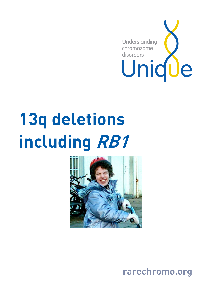

# 13q deletions including RB1



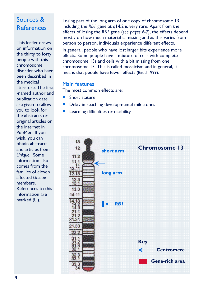# Sources & References

This leaflet draws on information on the thirty to forty people with this chromosome disorder who have been described in the medical literature. The first -named author and publication date are given to allow you to look for the abstracts or original articles on the internet in PubMed. If you wish, you can obtain abstracts and articles from Unique. Some information also comes from the families of eleven affected Unique members. References to this information are marked (U).

Losing part of the long arm of one copy of chromosome 13 including the RB1 gene at q14.2 is very rare. Apart from the effects of losing the RB1 gene (see pages 6-7), the effects depend mostly on how much material is missing and as this varies from person to person, individuals experience different effects.

In general, people who have lost larger bits experience more effects. Some people have a mixture of cells with complete chromosome 13s and cells with a bit missing from one chromosome 13. This is called mosaicism and in general, it means that people have fewer effects (Baud 1999).

#### Main features

The most common effects are:

- Short stature
- Delay in reaching developmental milestones
- Learning difficulties or disability

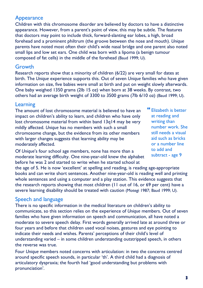# Appearance

Children with this chromosome disorder are believed by doctors to have a distinctive appearance. However, from a parent's point of view, this may be subtle. The features that doctors may point to include thick, forward-slanting ear lobes, a high, broad forehead and a prominent philtrum (the groove between the nose and mouth). Unique parents have noted most often their child's wide nasal bridge and one parent also noted small lips and low set ears. One child was born with a lipoma (a benign tumour composed of fat cells) in the middle of the forehead (Baud 1999; U).

#### Growth

Research reports show that a minority of children (6/22) are very small for dates at birth. The Unique experience supports this. Out of seven Unique families who have given information on size, five babies were small at birth and put on weight slowly afterwards. One baby weighed 1350 grams (2lb 15 oz) when born at 38 weeks. By contrast, two others had an average birth weight of 3300 to 3500 grams (7lb 6/10 oz) (Baud 1999; U).

### **Learning**

The amount of lost chromosome material is believed to have an impact on children's ability to learn, and children who have only lost chromosome material from within band 13q14 may be very mildly affected. Unique has no members with such a small chromosome change, but the evidence from its other members with larger changes suggests that learning ability may be moderately affected.

Of Unique's four school age members, none has more than a moderate learning difficulty. One nine-year-old knew the alphabet before he was 2 and started to write when he started school at

 Elizabeth is better at reading and writing than number work. She still needs a visual aid such as bricks or a number line to add and subtract - age 9

the age of 5. He is now 'excellent' at spelling and reading, is reading age-appropriate books and can write short sentences. Another nine-year-old is reading well and printing whole sentences and using a computer and a play station. This evidence suggests that the research reports showing that most children (11 out of 16, or 69 per cent) have a severe learning disability should be treated with caution (Motegi 1987; Baud 1999; U).

# Speech and language

There is no specific information in the medical literature on children's ability to communicate, so this section relies on the experience of Unique members. Out of seven families who have given information on speech and communication, all have noted a moderate to severe speech delay. First words generally arrived late at around three or four years and before that children used vocal noises, gestures and eye pointing to indicate their needs and wishes. Parents' perceptions of their child's level of understanding varied – in some children understanding outstripped speech, in others the reverse was true.

Four Unique members noted concerns with articulation: in two the concerns centred around specific speech sounds, in particular 'th'. A third child had a diagnosis of articulatory dyspraxia; the fourth had 'good understanding but problems with pronunciation'.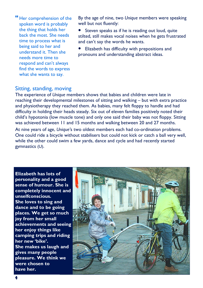Her comprehension of the spoken word is probably the thing that holds her back the most. She needs time to process what is being said to her and understand it. Then she needs more time to respond and can't always find the words to express what she wants to say.

By the age of nine, two Unique members were speaking well but not fluently:

- Steven speaks as if he is reading out loud, quite stilted, still makes vocal noises when he gets frustrated and can't say the words he wants.
- Elizabeth has difficulty with prepositions and pronouns and understanding abstract ideas.

#### Sitting, standing, moving

The experience of Unique members shows that babies and children were late in reaching their developmental milestones of sitting and walking – but with extra practice and physiotherapy they reached them. As babies, many felt floppy to handle and had difficulty in holding their heads steady. Six out of eleven families positively noted their child's hypotonia (low muscle tone) and only one said their baby was not floppy. Sitting was achieved between 11 and 15 months and walking between 20 and 27 months. At nine years of age, Unique's two oldest members each had co-ordination problems. One could ride a bicycle without stabilisers but could not kick or catch a ball very well, while the other could swim a few yards, dance and cycle and had recently started gymnastics (U).

Elizabeth has lots of personality and a good sense of humour. She is completely innocent and unselfconscious. She loves to sing and dance and to be going places. We get so much joy from her small achievements and seeing her enjoy things like camping trips and riding her new 'bike'. She makes us laugh and gives many people pleasure. We think we were chosen to have her.

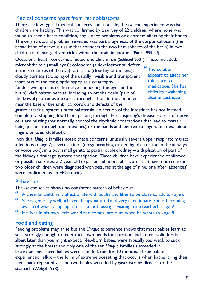# Medical concerns apart from retinoblastoma

There are few typical medical concerns and as a rule, the Unique experience was that children are healthy. This was confirmed by a survey of 22 children, where none was found to have a heart condition, any kidney problems or disorders affecting their bones. The only structural problem revealed was partial agenesis of the corpus callosum (the broad band of nervous tissue that connects the two hemispheres of the brain) in two children and enlarged ventricles within the brain in another (Baud 1999; U).

Occasional health concerns affected one child in six (Schinzel 2001). These included:

microphthalmia (small eyes); coloboma (a developmental defect in the structures of the eye); cataracts (clouding of the lens); cloudy corneas (clouding of the usually invisible and transparent front part of the eye); optic hypoplasia or atrophy (underdevelopment of the nerve connecting the eye and the brain); cleft palate; hernias, including an omphalocele (part of the bowel protrudes into a sac through a hole in the abdomen near the base of the umbilical cord); and defects of the

 The deletion appears to affect her tolerance to medication. She has difficulty awakening after anaesthesia

gastrointestinal system (intestinal atresia – a section of the intestines has not formed completely, stopping food from passing through; Hirschsprung's disease – areas of nerve cells are missing that normally control the rhythmic contractions that lead to matter being pushed through the intestines) or the hands and feet (extra fingers or toes, joined fingers or toes, clubfoot).

Individual Unique families noted these concerns: unusually severe upper respiratory tract infections to age 7; severe stridor (noisy breathing caused by obstruction in the airways or voice box); in a boy, small genitalia; partial duplex kidney – a duplication of part of the kidney's drainage system; constipation. Three children have experienced confirmed or possible seizures: a 2-year-old experienced neonatal seizures that have not recurred; two older children were diagnosed with seizures at the age of nine, one after 'absences' were confirmed by an EEG tracing.

#### Behaviour

The Unique series shows no consistent pattern of behaviour.

- A cheerful child, very affectionate with adults and likes to be close to adults age 6
- She is generally well behaved, happy natured and very affectionate. She is becoming aware of what is appropriate – like not kissing a visiting male teacher! - age 9
- He lives in his own little world and comes into ours when he wants to age 9

#### Food and eating

Feeding problems may arise but the Unique experience shows that most babies learn to suck strongly enough to meet their own needs for nutrition and to eat solid foods, albeit later than you might expect. Newborn babies were typically too weak to suck strongly at the breast and only one of the ten Unique families succeeded in breastfeeding. Three babies were tube fed, one for 10 months. Three babies experienced reflux – the form of extreme posseting that occurs when babies bring their feeds back repeatedly – and two babies were fed by gastrostomy direct into the stomach (Weigel 1998).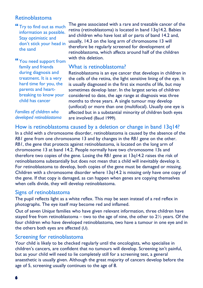## Retinoblastoma

"Try to find out as much information as possible. Stay optimistic and don't stick your head in the sand

 You need support from family and friends during diagnosis and treatment. It is a very hard time for you, the parents and heartbreaking to know your child has cancer

Families of children who developed retinoblastoma The gene associated with a rare and treatable cancer of the retina (retinoblastoma) is located in band 13q14.2. Babies and children who have lost all or parts of band 14.2 and, usually, 14.3 on the long arm of chromosome 13 will therefore be regularly screened for development of retinoblastoma, which affects around half of the children with this deletion.

#### What is retinoblastoma?

Retinoblastoma is an eye cancer that develops in children in the cells of the retina, the light sensitive lining of the eye. It is usually diagnosed in the first six months of life, but may sometimes develop later. In the largest series of children considered to date, the age range at diagnosis was three months to three years. A single tumour may develop (unifocal) or more than one (multifocal). Usually one eye is affected but in a substantial minority of children both eyes are involved (Baud 1999).

How is retinoblastoma caused by a deletion or change in band 13q14?

In a child with a chromosome disorder, retinoblastoma is caused by the absence of the RB1 gene from one chromosome 13 and by changes in the RB1 gene on the other. RB1, the gene that protects against retinoblastoma, is located on the long arm of chromosome 13 at band 14.2. People normally have two chromosome 13s and therefore two copies of the gene. Losing the RB1 gene at 13q14.2 raises the risk of retinoblastoma substantially but does not mean that a child will inevitably develop it. For retinoblastoma to develop, both copies of the gene must be damaged or missing. Children with a chromosome disorder where 13q14.2 is missing only have one copy of the gene. If that copy is damaged, as can happen when genes are copying themselves when cells divide, they will develop retinoblastoma.

#### Signs of retinoblastoma

The pupil reflects light as a white reflex. This may be seen instead of a red reflex in photographs. The eye itself may become red and inflamed.

Out of seven Unique families who have given relevant information, three children have stayed free from retinoblastoma – two to the age of nine, the other to  $2\frac{1}{2}$  years. Of the four children who have developed retinoblastoma, two have a tumour in one eye and in the others both eyes are affected (U).

#### Screening for retinoblastoma

Your child is likely to be checked regularly until the oncologists, who specialise in children's cancers, are confident that no tumours will develop. Screening isn't painful, but as your child will need to lie completely still for a screening test, a general anaesthetic is usually given. Although the great majority of cancers develop before the age of 5, screening usually continues to the age of 8.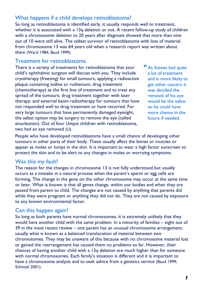# What happens if a child develops retinoblastoma?

So long as retinoblastoma is identified early, it usually responds well to treatment, whether it is associated with a 13q deletion or not. A recent follow-up study of children with a chromosome deletion to 20 years after diagnosis showed that more than nine out of 10 were still alive. The oldest survivor of retinoblastoma with loss of material from chromosome 13 was 64 years old when a research report was written about them (Ward 1984; Baud 1999).

#### Treatment for retinoblastoma

There is a variety of treatments for retinoblastoma that your child's ophthalmic surgeon will discuss with you. They include cryotherapy (freezing) for small tumours; applying a radioactive plaque containing iodine or ruthenium; drug treatment (chemotherapy) as the first line of treatment and to treat any spread of the tumours; drug treatment together with laser therapy; and external beam radiotherapy for tumours that have not responded well to drug treatment or have recurred. For very large tumours that have permanently damaged eyesight, the safest option may be surgery to remove the eye (called enucleation). Out of four Unique children with retinoblastoma, two had an eye removed (U).

 As Steven had quite a lot of treatment and is more likely to get other cancers it was decided the removal of his eye would be the safest so he could have more chemo in the future if needed.

People who have developed retinoblastoma have a small chance of developing other tumours in other parts of their body. These usually affect the bones or muscles or appear as moles or lumps in the skin. It is important to wear a high factor sunscreen to protect the skin and to be alert to any changes in moles or worrying symptoms.

# Was this my fault?

The reason for the changes in chromosome 13 is not fully understood but usually occurs as a mistake in a natural process when the parent's sperm or egg cells are forming. The change in the gene on the other chromosome may occur at the same time or later. What is known is that all genes change, within our bodies and when they are passed from parent to child. The changes are not caused by anything that parents did while they were pregnant or anything they did not do. They are not caused by exposure to any known environmental factor.

## Can this happen again?

So long as both parents have normal chromosomes, it is extremely unlikely that they would have another child with the same problem. In a minority of families – eight out of 39 in the most recent review – one parent has an unusual chromosome arrangement, usually what is known as a balanced translocation of material between two chromosomes. They may be unaware of this because with no chromosome material lost or gained the rearrangement has caused them no problems so far. However, their chances of having another child with a 13q deletion are much higher than for someone with normal chromosomes. Each family's situation is different and it is important to have a chromosome analysis and to seek advice from a genetics service (Baud 1999; Schinzel 2001).